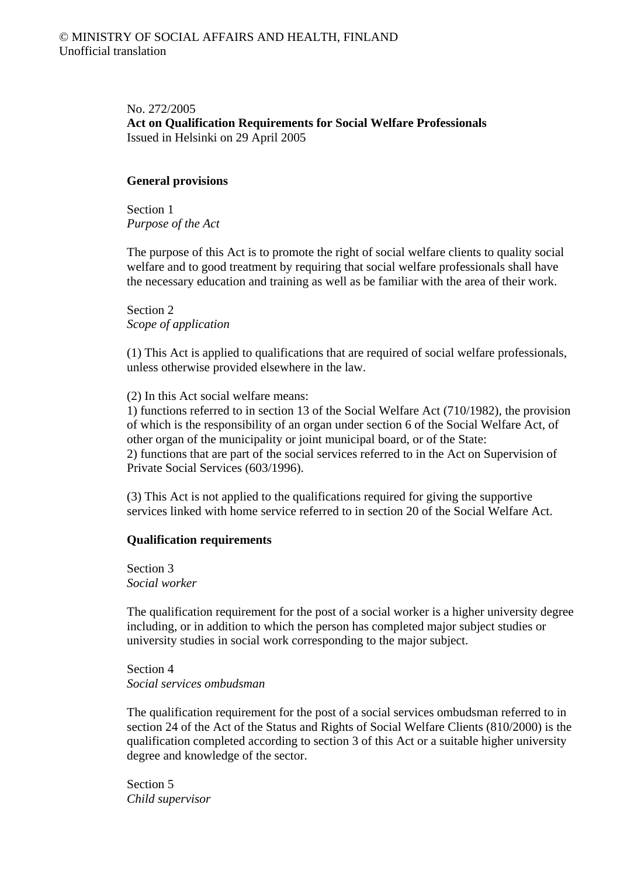No. 272/2005 **Act on Qualification Requirements for Social Welfare Professionals**  Issued in Helsinki on 29 April 2005

## **General provisions**

Section 1 *Purpose of the Act* 

The purpose of this Act is to promote the right of social welfare clients to quality social welfare and to good treatment by requiring that social welfare professionals shall have the necessary education and training as well as be familiar with the area of their work.

Section 2 *Scope of application* 

(1) This Act is applied to qualifications that are required of social welfare professionals, unless otherwise provided elsewhere in the law.

(2) In this Act social welfare means:

1) functions referred to in section 13 of the Social Welfare Act (710/1982), the provision of which is the responsibility of an organ under section 6 of the Social Welfare Act, of other organ of the municipality or joint municipal board, or of the State: 2) functions that are part of the social services referred to in the Act on Supervision of Private Social Services (603/1996).

(3) This Act is not applied to the qualifications required for giving the supportive services linked with home service referred to in section 20 of the Social Welfare Act.

## **Qualification requirements**

Section 3 *Social worker* 

The qualification requirement for the post of a social worker is a higher university degree including, or in addition to which the person has completed major subject studies or university studies in social work corresponding to the major subject.

Section 4 *Social services ombudsman* 

The qualification requirement for the post of a social services ombudsman referred to in section 24 of the Act of the Status and Rights of Social Welfare Clients (810/2000) is the qualification completed according to section 3 of this Act or a suitable higher university degree and knowledge of the sector.

Section 5 *Child supervisor*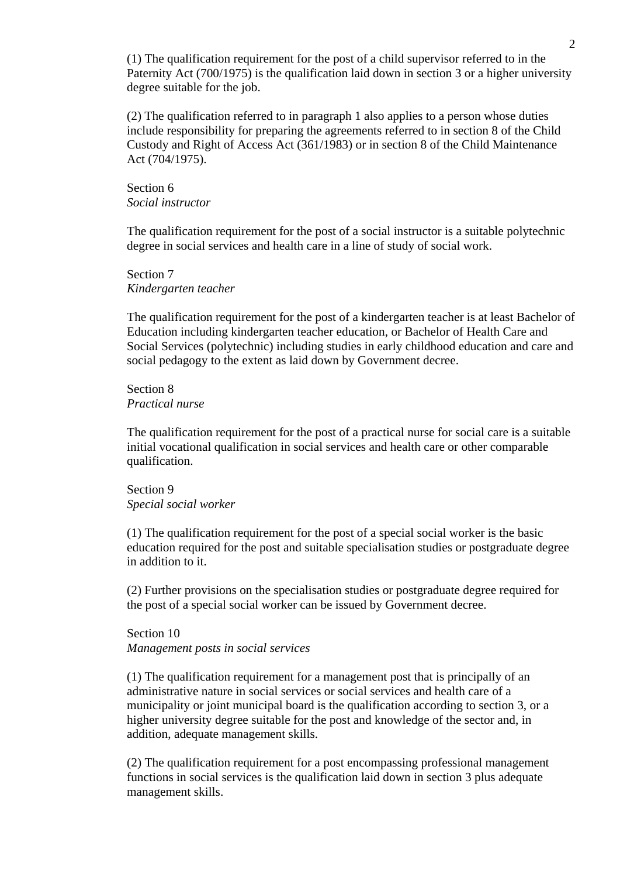(1) The qualification requirement for the post of a child supervisor referred to in the Paternity Act (700/1975) is the qualification laid down in section 3 or a higher university degree suitable for the job.

(2) The qualification referred to in paragraph 1 also applies to a person whose duties include responsibility for preparing the agreements referred to in section 8 of the Child Custody and Right of Access Act (361/1983) or in section 8 of the Child Maintenance Act (704/1975).

Section 6 *Social instructor* 

The qualification requirement for the post of a social instructor is a suitable polytechnic degree in social services and health care in a line of study of social work.

Section 7 *Kindergarten teacher* 

The qualification requirement for the post of a kindergarten teacher is at least Bachelor of Education including kindergarten teacher education, or Bachelor of Health Care and Social Services (polytechnic) including studies in early childhood education and care and social pedagogy to the extent as laid down by Government decree.

Section 8 *Practical nurse* 

The qualification requirement for the post of a practical nurse for social care is a suitable initial vocational qualification in social services and health care or other comparable qualification.

Section 9 *Special social worker* 

(1) The qualification requirement for the post of a special social worker is the basic education required for the post and suitable specialisation studies or postgraduate degree in addition to it.

(2) Further provisions on the specialisation studies or postgraduate degree required for the post of a special social worker can be issued by Government decree.

Section 10 *Management posts in social services* 

(1) The qualification requirement for a management post that is principally of an administrative nature in social services or social services and health care of a municipality or joint municipal board is the qualification according to section 3, or a higher university degree suitable for the post and knowledge of the sector and, in addition, adequate management skills.

(2) The qualification requirement for a post encompassing professional management functions in social services is the qualification laid down in section 3 plus adequate management skills.